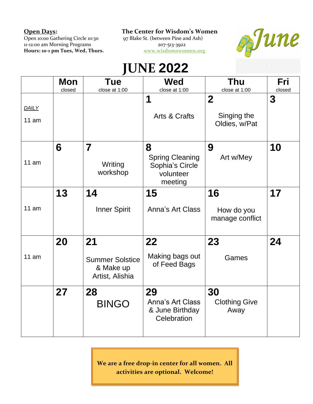Open 10:00 Gathering Circle 10:30 97 Blake St. (between Pine and Ash) **Hours: 10-1 pm Tues, Wed, Thurs.** 

**Open Days: The Center for Wisdom's Women**

11-12:00 am Morning Programs 207-513-3922<br> **Hours: 10-1 pm Tues, Wed, Thurs.** We are the Morrow Morning 207-513-3922



## **JUNE 2022**

|       | Mon    | <b>Tue</b>                                             | <b>Wed</b>                                                        | <b>Thu</b>                    | Fri    |
|-------|--------|--------------------------------------------------------|-------------------------------------------------------------------|-------------------------------|--------|
|       | closed | close at 1:00                                          | close at 1:00                                                     | close at 1:00                 | closed |
|       |        |                                                        | 1                                                                 | $\overline{2}$                | 3      |
| DAILY |        |                                                        |                                                                   |                               |        |
| 11 am |        |                                                        | Arts & Crafts                                                     | Singing the<br>Oldies, w/Pat  |        |
|       | 6      | $\overline{\mathbf{7}}$                                | 8                                                                 | 9                             | 10     |
| 11 am |        | Writing<br>workshop                                    | <b>Spring Cleaning</b><br>Sophia's Circle<br>volunteer<br>meeting | Art w/Mey                     |        |
|       | 13     | 14                                                     | 15                                                                | 16                            | 17     |
| 11 am |        | <b>Inner Spirit</b>                                    | Anna's Art Class                                                  | How do you<br>manage conflict |        |
|       | 20     | 21                                                     | 22                                                                | 23                            | 24     |
| 11 am |        | <b>Summer Solstice</b><br>& Make up<br>Artist, Alishia | Making bags out<br>of Feed Bags                                   | Games                         |        |
|       | 27     | 28                                                     | 29                                                                | 30                            |        |
|       |        | <b>BINGO</b>                                           | Anna's Art Class<br>& June Birthday<br>Celebration                | <b>Clothing Give</b><br>Away  |        |

**We are a free drop-in center for all women. All activities are optional. Welcome!**